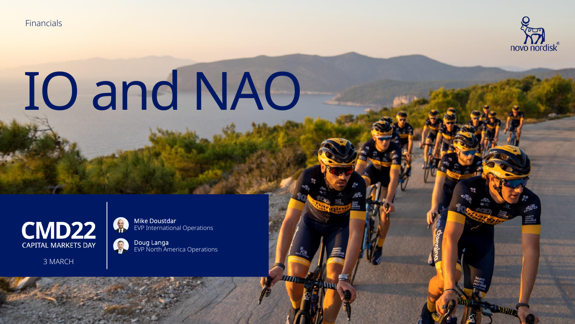**Financials** 



# IO and NAO



3 MARCH

Mike Doustdar EVP International Operations

8 Doug Langa EVP North America Operations

BOOSE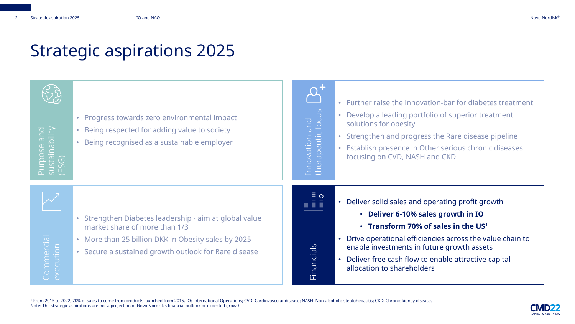#### Strategic aspirations 2025



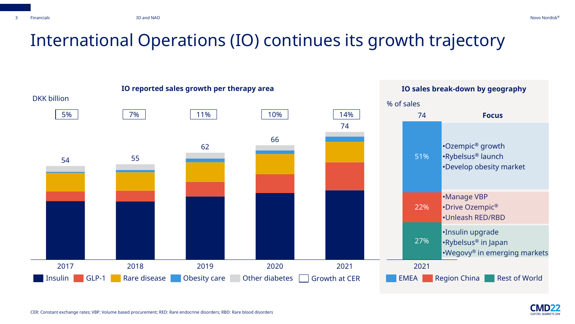#### International Operations (IO) continues its growth trajectory



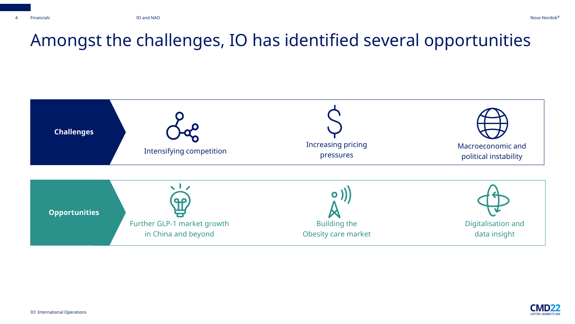#### Amongst the challenges, IO has identified several opportunities



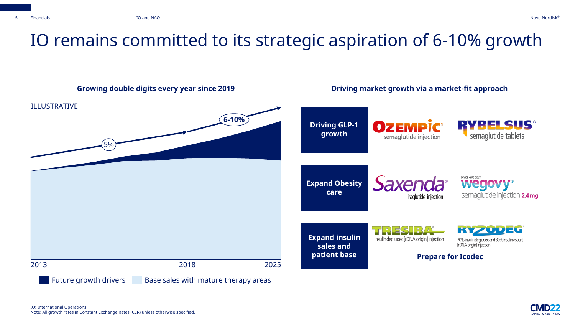



CADITAL MADKETS DAY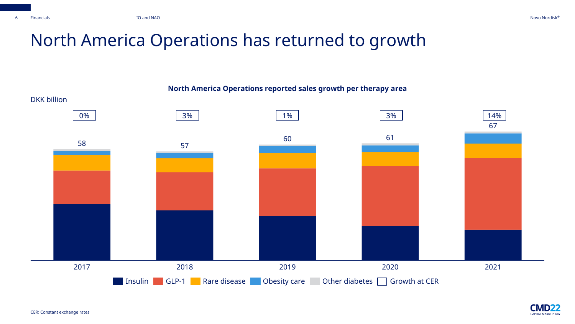CMD22 **CAPITAL MARKETS DAY** 

#### North America Operations has returned to growth



**North America Operations reported sales growth per therapy area**

CER: Constant exchange rates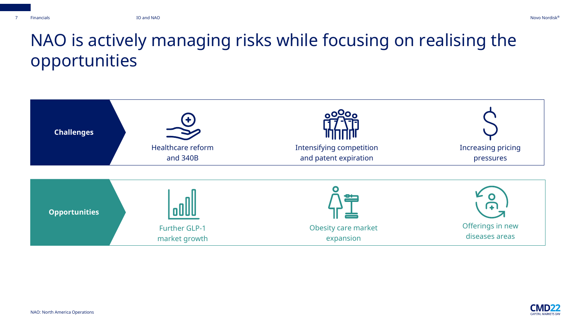#### NAO is actively managing risks while focusing on realising the opportunities



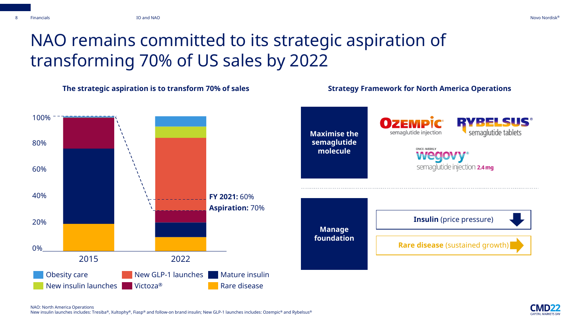### NAO remains committed to its strategic aspiration of transforming 70% of US sales by 2022